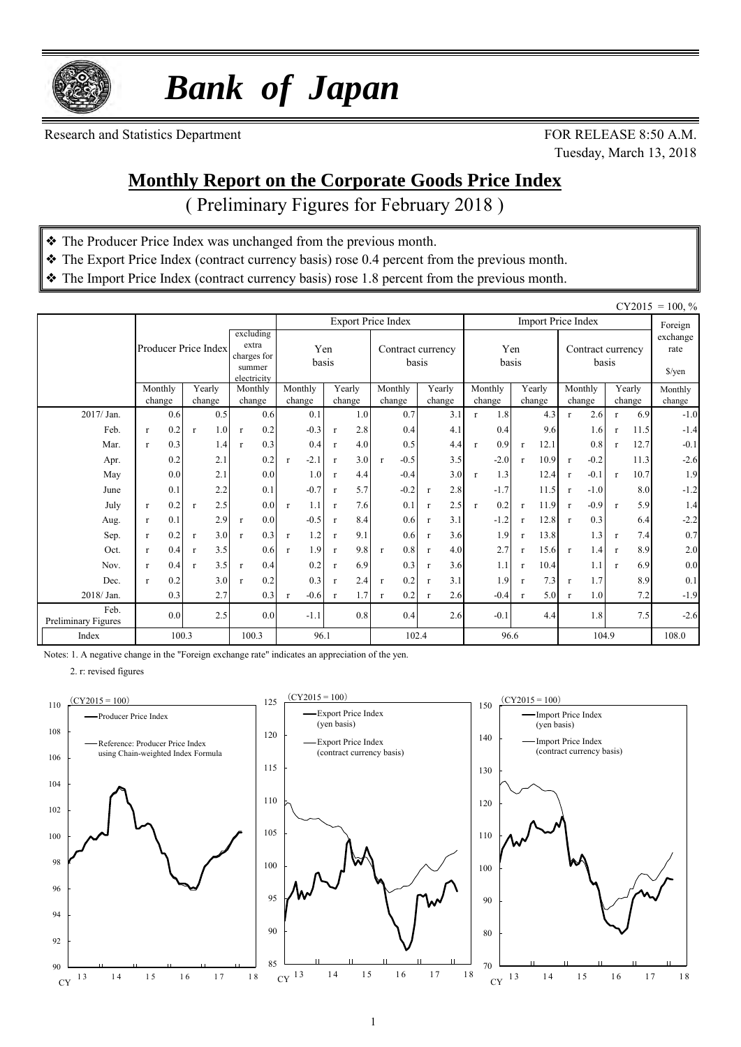

 *Bank of Japan*

Research and Statistics Department FOR RELEASE 8:50 A.M.

Tuesday, March 13, 2018

#### **Monthly Report on the Corporate Goods Price Index**

( Preliminary Figures for February 2018 )

- ❖ The Producer Price Index was unchanged from the previous month.
- ❖ The Export Price Index (contract currency basis) rose 0.4 percent from the previous month.
- ❖ The Import Price Index (contract currency basis) rose 1.8 percent from the previous month.

|                             |              |                                           |              |                    |                                                      |     |              |                            |              |                           |              |         |                            |        |              |                                          |              |                           |              |         |              | CY2015 | $= 100, \%$ |
|-----------------------------|--------------|-------------------------------------------|--------------|--------------------|------------------------------------------------------|-----|--------------|----------------------------|--------------|---------------------------|--------------|---------|----------------------------|--------|--------------|------------------------------------------|--------------|---------------------------|--------------|---------|--------------|--------|-------------|
|                             |              |                                           |              |                    |                                                      |     |              |                            |              | <b>Export Price Index</b> |              |         |                            |        |              |                                          |              | <b>Import Price Index</b> |              |         |              |        | Foreign     |
|                             |              | Producer Price Index<br>Monthly<br>Yearly |              | excluding<br>extra | Yen<br>charges for<br>basis<br>summer<br>electricity |     |              | Contract currency<br>basis |              | Yen<br>basis              |              |         | Contract currency<br>basis |        |              | exchange<br>rate<br>$\frac{\sqrt{2}}{2}$ |              |                           |              |         |              |        |             |
|                             |              |                                           |              |                    | Monthly                                              |     |              | Monthly                    |              | Yearly                    |              | Monthly |                            | Yearly |              | Monthly                                  |              | Yearly                    |              | Monthly |              | Yearly | Monthly     |
|                             |              | change                                    |              | change             | change                                               |     |              | change                     |              | change                    | change       |         |                            | change |              | change                                   |              | change                    |              | change  |              | change | change      |
| 2017/ Jan.                  |              | 0.6                                       |              | 0.5                |                                                      | 0.6 |              | 0.1                        |              | 1.0                       |              | 0.7     |                            | 3.1    | $\mathbf{r}$ | 1.8                                      |              | 4.3                       | $\mathbf{r}$ | 2.6     | $\mathbf{r}$ | 6.9    | $-1.0$      |
| Feb.                        | $\mathbf{r}$ | 0.2                                       | $\mathbf{r}$ | 1.0                | $\mathbf{r}$                                         | 0.2 |              | $-0.3$                     | $\mathbf{r}$ | 2.8                       |              | 0.4     |                            | 4.1    |              | 0.4                                      |              | 9.6                       |              | 1.6     | $\mathbf{r}$ | 11.5   | $-1.4$      |
| Mar.                        | $\mathbf{r}$ | 0.3                                       |              | 1.4                | $\mathbf{r}$                                         | 0.3 |              | 0.4                        | $\mathbf{r}$ | 4.0                       |              | 0.5     |                            | 4.4    | $\mathbf{r}$ | 0.9                                      | $\mathbf{r}$ | 12.1                      |              | 0.8     | $\mathbf{r}$ | 12.7   | $-0.1$      |
| Apr.                        |              | 0.2                                       |              | 2.1                |                                                      | 0.2 | $\mathbf{r}$ | $-2.1$                     | $\mathbf{r}$ | 3.0                       | $\mathbf{r}$ | $-0.5$  |                            | 3.5    |              | $-2.0$                                   | $\mathbf{r}$ | 10.9                      | $\mathbf{r}$ | $-0.2$  |              | 11.3   | $-2.6$      |
| May                         |              | 0.0                                       |              | 2.1                |                                                      | 0.0 |              | 1.0                        | $\mathbf{r}$ | 4.4                       |              | $-0.4$  |                            | 3.0    | $\mathbf{r}$ | 1.3                                      |              | 12.4                      | $\mathbf{r}$ | $-0.1$  | $\mathbf{r}$ | 10.7   | 1.9         |
| June                        |              | 0.1                                       |              | 2.2                |                                                      | 0.1 |              | $-0.7$                     |              | 5.7                       |              | $-0.2$  | $\mathbf{r}$               | 2.8    |              | $-1.7$                                   |              | 11.5                      | $\mathbf{r}$ | $-1.0$  |              | 8.0    | $-1.2$      |
| July                        | $\mathbf{r}$ | 0.2                                       | $\mathbf{r}$ | 2.5                |                                                      | 0.0 | $\mathbf{r}$ | 1.1                        | $\mathbf{r}$ | 7.6                       |              | 0.1     | $\mathbf{r}$               | 2.5    | $\mathbf{r}$ | 0.2                                      | $\mathbf{r}$ | 11.9                      | $\mathbf{r}$ | $-0.9$  | $\mathbf{r}$ | 5.9    | 1.4         |
| Aug.                        | $\mathbf{r}$ | 0.1                                       |              | 2.9                | $\mathbf{r}$                                         | 0.0 |              | $-0.5$                     | $\mathbf{r}$ | 8.4                       |              | 0.6     | $\mathbf{r}$               | 3.1    |              | $-1.2$                                   | $\mathbf{r}$ | 12.8                      | $\mathbf{r}$ | 0.3     |              | 6.4    | $-2.2$      |
| Sep.                        | $\mathbf{r}$ | 0.2                                       | $\mathbf{r}$ | 3.0                | $\mathbf{r}$                                         | 0.3 | $\mathbf{r}$ | 1.2                        | $\mathbf{r}$ | 9.1                       |              | 0.6     | $\mathbf{r}$               | 3.6    |              | 1.9                                      | $\mathbf{r}$ | 13.8                      |              | 1.3     | $\mathbf{r}$ | 7.4    | 0.7         |
| Oct.                        | $\mathbf{r}$ | 0.4                                       | $\mathbf{r}$ | 3.5                |                                                      | 0.6 | $\mathbf{r}$ | 1.9                        | $\mathbf{r}$ | 9.8                       | $\mathbf{r}$ | 0.8     | $\mathbf{r}$               | 4.0    |              | 2.7                                      | $\mathbf{r}$ | 15.6                      | $\mathbf{r}$ | 1.4     | $\mathbf{r}$ | 8.9    | $2.0\,$     |
| Nov.                        | $\mathbf{r}$ | 0.4                                       | $\mathbf{r}$ | 3.5                | $\mathbf{r}$                                         | 0.4 |              | 0.2                        | $\mathbf{r}$ | 6.9                       |              | 0.3     | $\mathbf{r}$               | 3.6    |              | 1.1                                      | $\mathbf{r}$ | 10.4                      |              | 1.1     | $\mathbf{r}$ | 6.9    | $0.0\,$     |
| Dec.                        | $\mathbf{r}$ | 0.2                                       |              | 3.0                | $\mathbf{r}$                                         | 0.2 |              | 0.3                        | $\mathbf{r}$ | 2.4                       | $\mathbf{r}$ | 0.2     | $\mathbf{r}$               | 3.1    |              | 1.9                                      | $\mathbf{r}$ | 7.3                       | $\mathbf{r}$ | 1.7     |              | 8.9    | 0.1         |
| 2018/ Jan.                  |              | 0.3                                       |              | 2.7                |                                                      | 0.3 |              | $-0.6$                     | $\mathbf{r}$ | 1.7                       | $\mathbf{r}$ | 0.2     | $\mathbf{r}$               | 2.6    |              | $-0.4$                                   |              | 5.0                       |              | 1.0     |              | 7.2    | $-1.9$      |
| Feb.<br>Preliminary Figures |              | 0.0                                       |              | 2.5                |                                                      | 0.0 |              | $-1.1$                     |              | 0.8                       |              | 0.4     |                            | 2.6    |              | $-0.1$                                   |              | 4.4                       |              | 1.8     |              | 7.5    | $-2.6$      |
| Index                       |              | 100.3                                     |              |                    | 100.3                                                |     |              | 96.1                       |              |                           |              | 102.4   |                            |        |              | 96.6                                     |              |                           |              | 104.9   |              |        | 108.0       |

Notes: 1. A negative change in the "Foreign exchange rate" indicates an appreciation of the yen.

2. r: revised figures

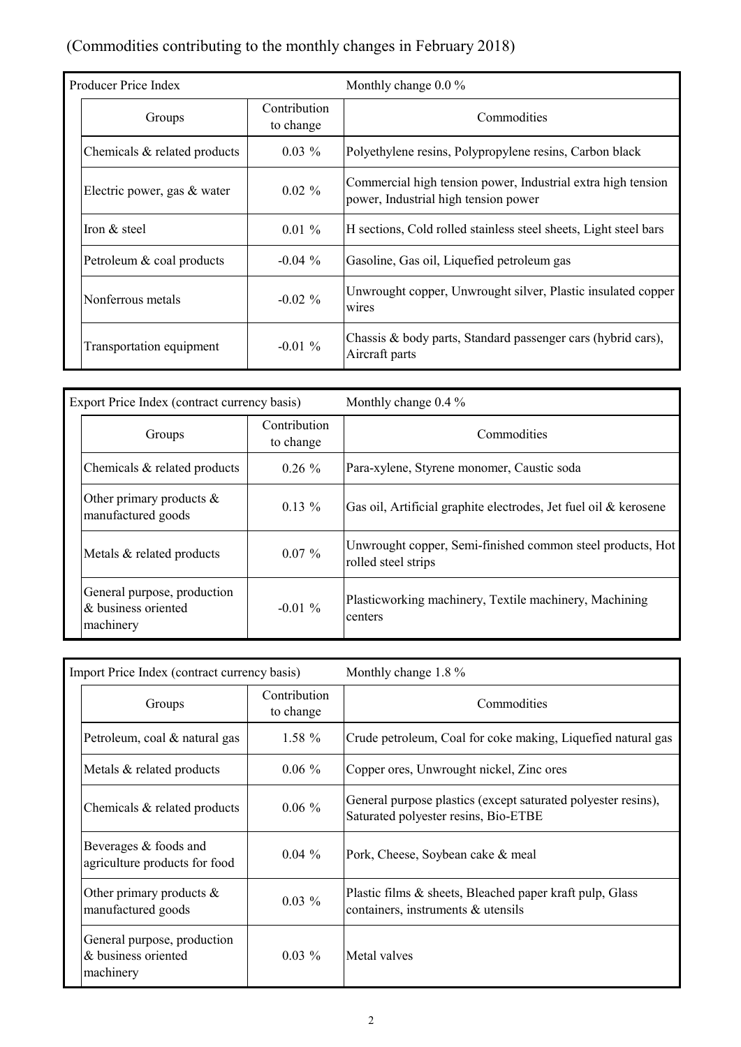## (Commodities contributing to the monthly changes in February 2018)

| Producer Price Index         |                           | Monthly change $0.0\%$                                                                               |
|------------------------------|---------------------------|------------------------------------------------------------------------------------------------------|
| Groups                       | Contribution<br>to change | Commodities                                                                                          |
| Chemicals & related products | $0.03\%$                  | Polyethylene resins, Polypropylene resins, Carbon black                                              |
| Electric power, gas & water  | $0.02 \%$                 | Commercial high tension power, Industrial extra high tension<br>power, Industrial high tension power |
| Iron $&$ steel               | $0.01 \%$                 | H sections, Cold rolled stainless steel sheets, Light steel bars                                     |
| Petroleum & coal products    | $-0.04\%$                 | Gasoline, Gas oil, Liquefied petroleum gas                                                           |
| Nonferrous metals            | $-0.02 \%$                | Unwrought copper, Unwrought silver, Plastic insulated copper<br>wires                                |
| Transportation equipment     | $-0.01\%$                 | Chassis & body parts, Standard passenger cars (hybrid cars),<br>Aircraft parts                       |

| Export Price Index (contract currency basis)                    |                           | Monthly change $0.4\%$                                                            |  |  |  |  |  |  |
|-----------------------------------------------------------------|---------------------------|-----------------------------------------------------------------------------------|--|--|--|--|--|--|
| Groups                                                          | Contribution<br>to change | Commodities                                                                       |  |  |  |  |  |  |
| Chemicals & related products                                    | $0.26 \%$                 | Para-xylene, Styrene monomer, Caustic soda                                        |  |  |  |  |  |  |
| Other primary products $\&$<br>manufactured goods               | $0.13\%$                  | Gas oil, Artificial graphite electrodes, Jet fuel oil & kerosene                  |  |  |  |  |  |  |
| Metals & related products                                       | $0.07\%$                  | Unwrought copper, Semi-finished common steel products, Hot<br>rolled steel strips |  |  |  |  |  |  |
| General purpose, production<br>& business oriented<br>machinery | $-0.01\%$                 | Plasticworking machinery, Textile machinery, Machining<br>centers                 |  |  |  |  |  |  |

| Import Price Index (contract currency basis)                    |                           | Monthly change $1.8\%$                                                                                |
|-----------------------------------------------------------------|---------------------------|-------------------------------------------------------------------------------------------------------|
| Groups                                                          | Contribution<br>to change | Commodities                                                                                           |
| Petroleum, coal & natural gas                                   | 1.58 $%$                  | Crude petroleum, Coal for coke making, Liquefied natural gas                                          |
| Metals & related products                                       | $0.06 \%$                 | Copper ores, Unwrought nickel, Zinc ores                                                              |
| Chemicals & related products                                    | $0.06 \%$                 | General purpose plastics (except saturated polyester resins),<br>Saturated polyester resins, Bio-ETBE |
| Beverages & foods and<br>agriculture products for food          | $0.04\%$                  | Pork, Cheese, Soybean cake & meal                                                                     |
| Other primary products $\&$<br>manufactured goods               | $0.03\%$                  | Plastic films & sheets, Bleached paper kraft pulp, Glass<br>containers, instruments & utensils        |
| General purpose, production<br>& business oriented<br>machinery | $0.03 \%$                 | Metal valves                                                                                          |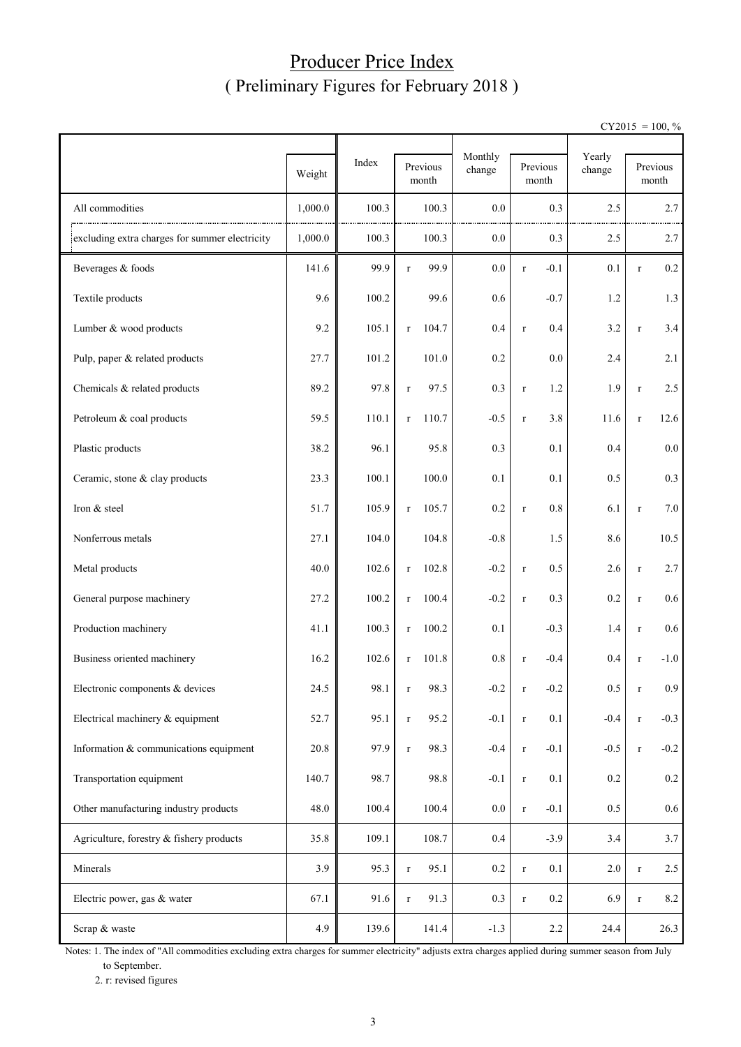## Producer Price Index ( Preliminary Figures for February 2018 )

 $CY2015 = 100, \%$ 

|                                                |         |       | Monthly              |         | Yearly                 |         |                   |         |
|------------------------------------------------|---------|-------|----------------------|---------|------------------------|---------|-------------------|---------|
|                                                | Weight  | Index | Previous<br>month    | change  | Previous<br>month      | change  | Previous<br>month |         |
| All commodities                                | 1,000.0 | 100.3 | 100.3                | 0.0     | 0.3                    | 2.5     |                   | 2.7     |
| excluding extra charges for summer electricity | 1,000.0 | 100.3 | 100.3                | 0.0     | 0.3                    | 2.5     |                   | 2.7     |
| Beverages & foods                              | 141.6   | 99.9  | 99.9<br>$\mathbf r$  | $0.0\,$ | $-0.1$<br>$\mathbf r$  | 0.1     | $\mathbf r$       | $0.2\,$ |
| Textile products                               | 9.6     | 100.2 | 99.6                 | 0.6     | $-0.7$                 | 1.2     |                   | 1.3     |
| Lumber & wood products                         | 9.2     | 105.1 | 104.7<br>$\mathbf r$ | 0.4     | 0.4<br>$\mathbf r$     | 3.2     | $\mathbf r$       | 3.4     |
| Pulp, paper & related products                 | 27.7    | 101.2 | 101.0                | 0.2     | 0.0                    | 2.4     |                   | $2.1$   |
| Chemicals & related products                   | 89.2    | 97.8  | 97.5<br>$\mathbf r$  | 0.3     | 1.2<br>$\mathbf r$     | 1.9     | $\mathbf r$       | $2.5\,$ |
| Petroleum & coal products                      | 59.5    | 110.1 | 110.7<br>$\mathbf r$ | $-0.5$  | 3.8<br>$\mathbf r$     | 11.6    | $\mathbf r$       | 12.6    |
| Plastic products                               | 38.2    | 96.1  | 95.8                 | 0.3     | 0.1                    | 0.4     |                   | 0.0     |
| Ceramic, stone & clay products                 | 23.3    | 100.1 | 100.0                | 0.1     | 0.1                    | 0.5     |                   | 0.3     |
| Iron & steel                                   | 51.7    | 105.9 | 105.7<br>$\mathbf r$ | 0.2     | 0.8<br>$\mathbf r$     | 6.1     | $\mathbf r$       | 7.0     |
| Nonferrous metals                              | 27.1    | 104.0 | 104.8                | $-0.8$  | 1.5                    | 8.6     |                   | 10.5    |
| Metal products                                 | 40.0    | 102.6 | 102.8<br>$\mathbf r$ | $-0.2$  | 0.5<br>$\, r$          | 2.6     | $\mathbf r$       | 2.7     |
| General purpose machinery                      | 27.2    | 100.2 | 100.4<br>$\mathbf r$ | $-0.2$  | 0.3<br>$\mathbf r$     | $0.2\,$ | $\mathbf r$       | 0.6     |
| Production machinery                           | 41.1    | 100.3 | 100.2<br>$\mathbf r$ | 0.1     | $-0.3$                 | 1.4     | $\mathbf r$       | 0.6     |
| Business oriented machinery                    | 16.2    | 102.6 | 101.8<br>$\mathbf r$ | 0.8     | $-0.4$<br>$\mathbf r$  | 0.4     | $\mathbf r$       | $-1.0$  |
| Electronic components & devices                | 24.5    | 98.1  | 98.3<br>r            | $-0.2$  | $-0.2$                 | 0.5     |                   | 0.9     |
| Electrical machinery & equipment               | 52.7    | 95.1  | 95.2<br>$\mathbf r$  | $-0.1$  | 0.1<br>$\mathbf r$     | $-0.4$  | $\, r$            | $-0.3$  |
| Information & communications equipment         | 20.8    | 97.9  | 98.3<br>$\mathbf r$  | $-0.4$  | $-0.1$<br>$\mathbf r$  | $-0.5$  | $\mathbf r$       | $-0.2$  |
| Transportation equipment                       | 140.7   | 98.7  | 98.8                 | $-0.1$  | $0.1\,$<br>$\mathbf r$ | $0.2\,$ |                   | $0.2\,$ |
| Other manufacturing industry products          | 48.0    | 100.4 | 100.4                | $0.0\,$ | $-0.1$<br>$\mathbf r$  | $0.5\,$ |                   | $0.6\,$ |
| Agriculture, forestry & fishery products       | 35.8    | 109.1 | 108.7                | 0.4     | $-3.9$                 | 3.4     |                   | 3.7     |
| Minerals                                       | 3.9     | 95.3  | 95.1<br>$\mathbf r$  | $0.2\,$ | 0.1<br>$\mathbf r$     | $2.0\,$ | $\mathbf r$       | $2.5\,$ |
| Electric power, gas & water                    | 67.1    | 91.6  | 91.3<br>$\mathbf r$  | 0.3     | $0.2\,$<br>$\mathbf r$ | 6.9     | $\mathbf r$       | $8.2\,$ |
| Scrap & waste                                  | 4.9     | 139.6 | 141.4                | $-1.3$  | 2.2                    | 24.4    |                   | 26.3    |

Notes: 1. The index of "All commodities excluding extra charges for summer electricity" adjusts extra charges applied during summer season from July to September.

2. r: revised figures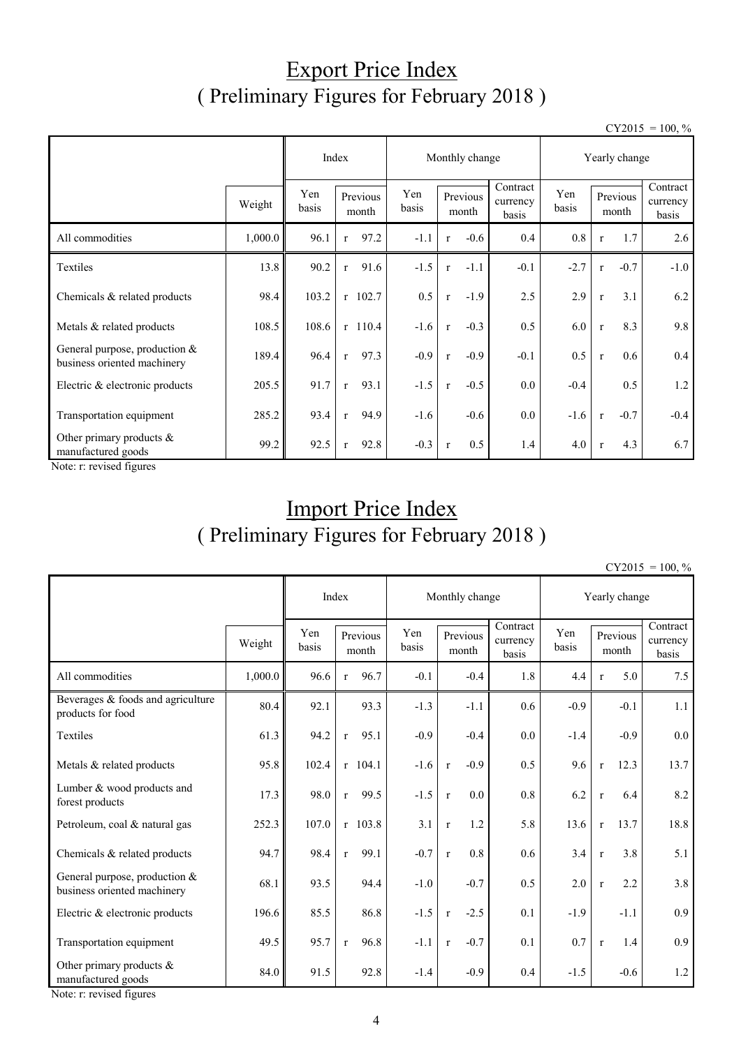## Export Price Index ( Preliminary Figures for February 2018 )

 $CY2015 = 100, \%$ 

|                                                                | Index                                                       |       |                   | Monthly change |                               |              |        | Yearly change     |                               |              |        |        |
|----------------------------------------------------------------|-------------------------------------------------------------|-------|-------------------|----------------|-------------------------------|--------------|--------|-------------------|-------------------------------|--------------|--------|--------|
|                                                                | Yen<br>Yen<br>Previous<br>Weight<br>basis<br>basis<br>month |       | Previous<br>month |                | Contract<br>currency<br>basis | Yen<br>basis |        | Previous<br>month | Contract<br>currency<br>basis |              |        |        |
| All commodities                                                | 1,000.0                                                     | 96.1  | $\mathbf{r}$      | 97.2           | $-1.1$                        | $\mathbf{r}$ | $-0.6$ | 0.4               | 0.8                           | $\mathbf{r}$ | 1.7    | 2.6    |
| Textiles                                                       | 13.8                                                        | 90.2  | $\mathbf{r}$      | 91.6           | $-1.5$                        | $\mathbf{r}$ | $-1.1$ | $-0.1$            | $-2.7$                        | $\mathbf{r}$ | $-0.7$ | $-1.0$ |
| Chemicals & related products                                   | 98.4                                                        | 103.2 |                   | $r$ 102.7      | 0.5                           | $\mathbf{r}$ | $-1.9$ | 2.5               | 2.9                           | $\mathbf{r}$ | 3.1    | 6.2    |
| Metals & related products                                      | 108.5                                                       | 108.6 |                   | $r$ 110.4      | $-1.6$                        | $\mathbf{r}$ | $-0.3$ | 0.5               | 6.0                           | $\mathbf{r}$ | 8.3    | 9.8    |
| General purpose, production $&$<br>business oriented machinery | 189.4                                                       | 96.4  | $\mathbf{r}$      | 97.3           | $-0.9$                        | $\mathbf{r}$ | $-0.9$ | $-0.1$            | 0.5                           | $\mathbf{r}$ | 0.6    | 0.4    |
| Electric & electronic products                                 | 205.5                                                       | 91.7  | $\mathbf{r}$      | 93.1           | $-1.5$                        | $\mathbf{r}$ | $-0.5$ | 0.0               | $-0.4$                        |              | 0.5    | 1.2    |
| Transportation equipment                                       | 285.2                                                       | 93.4  | $\mathbf{r}$      | 94.9           | $-1.6$                        |              | $-0.6$ | $0.0\,$           | $-1.6$                        | $\mathbf{r}$ | $-0.7$ | $-0.4$ |
| Other primary products $\&$<br>manufactured goods              | 99.2                                                        | 92.5  | $\mathbf{r}$      | 92.8           | $-0.3$                        | $\mathbf{r}$ | 0.5    | 1.4               | 4.0                           | $\mathbf{r}$ | 4.3    | 6.7    |

Note: r: revised figures

## Import Price Index ( Preliminary Figures for February 2018 )

 $CY2015 = 100, \%$ 

|                                                                |         | Index        |                      | Monthly change |                        | Yearly change                 |              |                      |                               |
|----------------------------------------------------------------|---------|--------------|----------------------|----------------|------------------------|-------------------------------|--------------|----------------------|-------------------------------|
|                                                                | Weight  | Yen<br>basis | Previous<br>month    | Yen<br>basis   | Previous<br>month      | Contract<br>currency<br>basis | Yen<br>basis | Previous<br>month    | Contract<br>currency<br>basis |
| All commodities                                                | 1,000.0 | 96.6         | 96.7<br>$\mathbf{r}$ | $-0.1$         | $-0.4$                 | 1.8                           | 4.4          | 5.0<br>$\mathbf{r}$  | 7.5                           |
| Beverages & foods and agriculture<br>products for food         | 80.4    | 92.1         | 93.3                 | $-1.3$         | $-1.1$                 | 0.6                           | $-0.9$       | $-0.1$               | 1.1                           |
| Textiles                                                       | 61.3    | 94.2         | 95.1<br>$\mathbf{r}$ | $-0.9$         | $-0.4$                 | 0.0                           | $-1.4$       | $-0.9$               | $0.0\,$                       |
| Metals & related products                                      | 95.8    | 102.4        | $r$ 104.1            | $-1.6$         | $-0.9$<br>$\mathbf{r}$ | 0.5                           | 9.6          | 12.3<br>$\mathbf{r}$ | 13.7                          |
| Lumber & wood products and<br>forest products                  | 17.3    | 98.0         | 99.5<br>$\mathbf{r}$ | $-1.5$         | 0.0<br>$\mathbf{r}$    | 0.8                           | 6.2          | 6.4<br>$\mathbf{r}$  | 8.2                           |
| Petroleum, coal & natural gas                                  | 252.3   | 107.0        | $r$ 103.8            | 3.1            | 1.2<br>$\mathbf{r}$    | 5.8                           | 13.6         | 13.7<br>$\mathbf{r}$ | 18.8                          |
| Chemicals & related products                                   | 94.7    | 98.4         | 99.1<br>$\mathbf{r}$ | $-0.7$         | 0.8<br>$\mathbf{r}$    | 0.6                           | 3.4          | 3.8<br>$\mathbf{r}$  | 5.1                           |
| General purpose, production $&$<br>business oriented machinery | 68.1    | 93.5         | 94.4                 | $-1.0$         | $-0.7$                 | 0.5                           | 2.0          | 2.2<br>$\mathbf r$   | 3.8                           |
| Electric & electronic products                                 | 196.6   | 85.5         | 86.8                 | $-1.5$         | $-2.5$<br>$\mathbf{r}$ | 0.1                           | $-1.9$       | $-1.1$               | 0.9                           |
| Transportation equipment                                       | 49.5    | 95.7         | 96.8<br>$\mathbf{r}$ | $-1.1$         | $-0.7$<br>$\mathbf{r}$ | 0.1                           | 0.7          | 1.4<br>$\mathbf r$   | 0.9                           |
| Other primary products &<br>manufactured goods                 | 84.0    | 91.5         | 92.8                 | $-1.4$         | $-0.9$                 | 0.4                           | $-1.5$       | $-0.6$               | 1.2                           |

Note: r: revised figures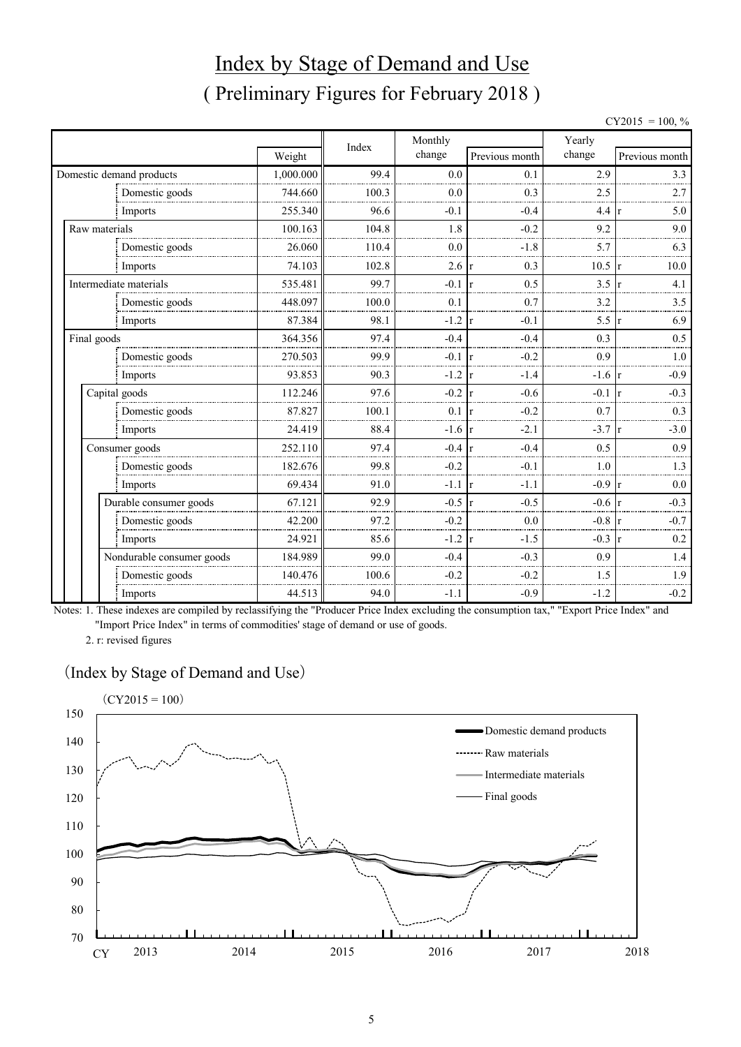## Index by Stage of Demand and Use ( Preliminary Figures for February 2018 )

| $CY2015 = 100, \%$ |  |
|--------------------|--|
|--------------------|--|

|                           |           | Index | Monthly          |                          | Yearly           |                               |
|---------------------------|-----------|-------|------------------|--------------------------|------------------|-------------------------------|
|                           | Weight    |       | change           | Previous month           | change           | Previous month                |
| Domestic demand products  | 1,000.000 | 99.4  | 0.0              | 0.1                      | 2.9              | 3.3                           |
| Domestic goods            | 744.660   | 100.3 | 0.0              | 0.3                      | 2.5              | 2.7                           |
| Imports                   | 255.340   | 96.6  | $-0.1$           | $-0.4$                   | 4.4              | 5.0                           |
| Raw materials             | 100.163   | 104.8 | 1.8              | $-0.2$                   | 9.2              | 9.0                           |
| Domestic goods            | 26.060    | 110.4 | 0.0              | $-1.8$                   | 5.7              | 6.3                           |
| Imports                   | 74.103    | 102.8 | 2.6              | 0.3<br>r                 | 10.5             | 10.0                          |
| Intermediate materials    | 535.481   | 99.7  | $-0.1$           | 0.5<br>$\mathbf{r}$      | 3.5              | 4.1                           |
| Domestic goods            | 448.097   | 100.0 | 0.1              | 0.7                      | 3.2              | 3.5                           |
| Imports                   | 87.384    | 98.1  | $-1.2$           | $-0.1$<br>$\mathbf{r}$   | 5.5              | 6.9                           |
| Final goods               | 364.356   | 97.4  | $-0.4$           | $-0.4$                   | 0.3              | 0.5                           |
| Domestic goods            | 270.503   | 99.9  | $-0.1 \text{ r}$ | $-0.2$                   | 0.9              | 1.0                           |
| Imports                   | 93.853    | 90.3  | $-1.2$           | $-1.4$<br>r              | $-1.6 \text{ r}$ | $-0.9$                        |
| Capital goods             | 112.246   | 97.6  | $-0.2$           | $-0.6$<br>$\mathbf{r}$   | $-0.1$           | $-0.3$                        |
| Domestic goods            | 87.827    | 100.1 | 0.1              | $-0.2$<br>r              | 0.7              | 0.3                           |
| Imports                   | 24.419    | 88.4  | $-1.6$           | $-2.1$<br>lr.            | $-3.7$           | $-3.0$                        |
| Consumer goods            | 252.110   | 97.4  | $-0.4$           | $-0.4$<br>$\mathbf{r}$   | 0.5              | 0.9                           |
| Domestic goods            | 182.676   | 99.8  | $-0.2$           | $-0.1$                   | 1.0              | 1.3                           |
| Imports                   | 69.434    | 91.0  | $-1.1$           | $-1.1$<br>$\mathsf{I}$ r | $-0.9$           | 0.0<br>$\mathsf{I}\mathsf{r}$ |
| Durable consumer goods    | 67.121    | 92.9  | $-0.5$           | $-0.5$<br>$\mathbf{r}$   | $-0.6$           | $-0.3$                        |
| Domestic goods            | 42.200    | 97.2  | $-0.2$           | 0.0                      | $-0.8$           | $-0.7$                        |
| Imports                   | 24.921    | 85.6  | $-1.2 \text{ r}$ | $-1.5$                   | $-0.3$           | 0.2                           |
| Nondurable consumer goods | 184.989   | 99.0  | $-0.4$           | $-0.3$                   | 0.9              | 1.4                           |
| Domestic goods            | 140.476   | 100.6 | $-0.2$           | $-0.2$                   | 1.5              | 1.9                           |
| Imports                   | 44.513    | 94.0  | $-1.1$           | $-0.9$                   | $-1.2$           | $-0.2$                        |

Notes: 1. These indexes are compiled by reclassifying the "Producer Price Index excluding the consumption tax," "Export Price Index" and "Import Price Index" in terms of commodities' stage of demand or use of goods.

2. r: revised figures

#### (Index by Stage of Demand and Use)

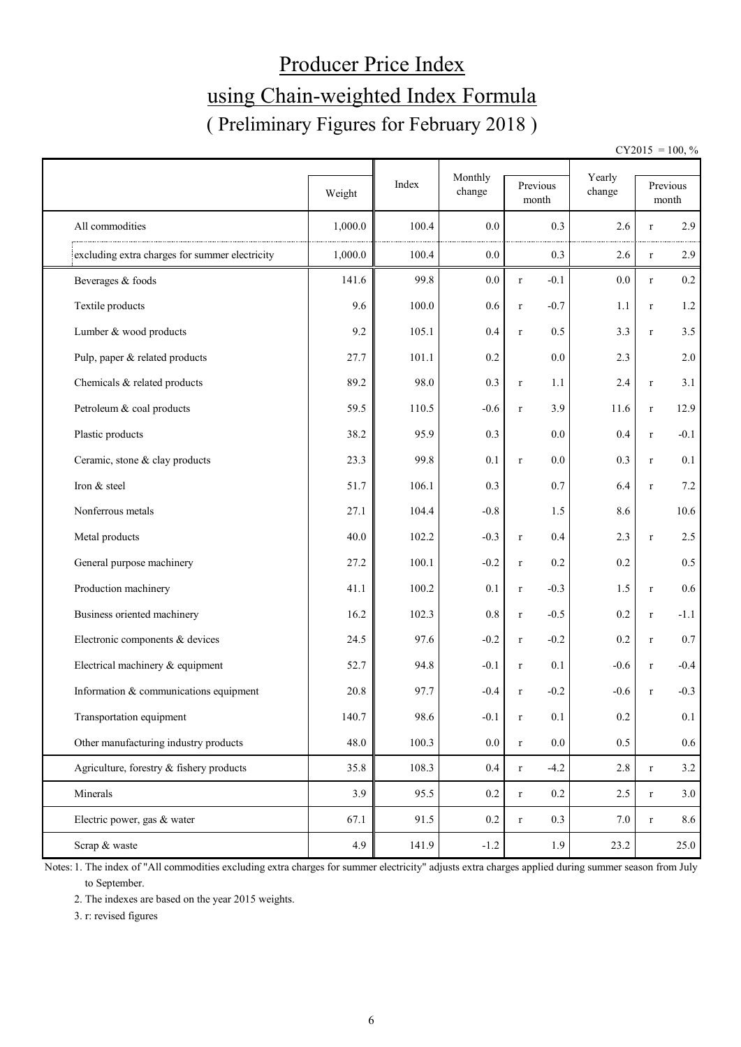# Producer Price Index using Chain-weighted Index Formula ( Preliminary Figures for February 2018 )

 $CY2015 = 100, \%$ 

|                                                | Weight  | Index | Monthly<br>change | Previous               | Yearly<br>change |              | Previous |
|------------------------------------------------|---------|-------|-------------------|------------------------|------------------|--------------|----------|
|                                                |         |       |                   | month                  |                  |              | month    |
| All commodities                                | 1,000.0 | 100.4 | 0.0               | 0.3                    | 2.6              | r            | 2.9      |
| excluding extra charges for summer electricity | 1,000.0 | 100.4 | $0.0\,$           | 0.3                    | 2.6              | $\mathbf r$  | 2.9      |
| Beverages & foods                              | 141.6   | 99.8  | 0.0               | $-0.1$<br>$\mathbf r$  | 0.0              | $\mathbf r$  | $0.2\,$  |
| Textile products                               | 9.6     | 100.0 | 0.6               | $-0.7$<br>$\mathbf r$  | 1.1              | $\mathbf{r}$ | $1.2\,$  |
| Lumber & wood products                         | 9.2     | 105.1 | 0.4               | 0.5<br>$\mathbf r$     | 3.3              | $\mathbf r$  | $3.5$    |
| Pulp, paper & related products                 | 27.7    | 101.1 | 0.2               | 0.0                    | 2.3              |              | 2.0      |
| Chemicals & related products                   | 89.2    | 98.0  | 0.3               | 1.1<br>$\mathbf r$     | 2.4              | $\mathbf r$  | 3.1      |
| Petroleum & coal products                      | 59.5    | 110.5 | $-0.6$            | 3.9<br>$\mathbf r$     | 11.6             | $\mathbf r$  | 12.9     |
| Plastic products                               | 38.2    | 95.9  | 0.3               | 0.0                    | 0.4              | $\mathbf r$  | $-0.1$   |
| Ceramic, stone & clay products                 | 23.3    | 99.8  | 0.1               | 0.0<br>$\mathbf r$     | 0.3              | $\mathbf r$  | 0.1      |
| Iron & steel                                   | 51.7    | 106.1 | 0.3               | 0.7                    | 6.4              | $\mathbf r$  | $7.2\,$  |
| Nonferrous metals                              | 27.1    | 104.4 | $-0.8$            | 1.5                    | 8.6              |              | 10.6     |
| Metal products                                 | 40.0    | 102.2 | $-0.3$            | 0.4<br>$\mathbf r$     | 2.3              | $\mathbf{r}$ | 2.5      |
| General purpose machinery                      | 27.2    | 100.1 | $-0.2$            | 0.2<br>$\mathbf r$     | 0.2              |              | 0.5      |
| Production machinery                           | 41.1    | 100.2 | 0.1               | $-0.3$<br>$\mathbf r$  | 1.5              | $\mathbf r$  | 0.6      |
| Business oriented machinery                    | 16.2    | 102.3 | $0.8\,$           | $-0.5$<br>$\mathbf r$  | 0.2              | $\mathbf r$  | $-1.1$   |
| Electronic components & devices                | 24.5    | 97.6  | $-0.2$            | $-0.2$<br>$\mathbf r$  | 0.2              | $\mathbf r$  | 0.7      |
| Electrical machinery & equipment               | 52.7    | 94.8  | $-0.1$            | 0.1<br>$\mathbf r$     | $-0.6$           | $\mathbf r$  | $-0.4$   |
| Information & communications equipment         | 20.8    | 97.7  | $-0.4$            | $-0.2$<br>$\mathbf r$  | $-0.6$           | $\mathbf{r}$ | $-0.3$   |
| Transportation equipment                       | 140.7   | 98.6  | $-0.1$            | 0.1<br>$\mathbf r$     | 0.2              |              | 0.1      |
| Other manufacturing industry products          | 48.0    | 100.3 | $0.0\,$           | $0.0\,$<br>$\mathbf r$ | 0.5              |              | $0.6\,$  |
| Agriculture, forestry & fishery products       | 35.8    | 108.3 | $0.4\,$           | $-4.2$<br>$\mathbf r$  | $2.8\,$          | $\mathbf r$  | 3.2      |
| Minerals                                       | 3.9     | 95.5  | $0.2\,$           | $0.2\,$<br>$\mathbf r$ | 2.5              | $\mathbf r$  | 3.0      |
| Electric power, gas & water                    | 67.1    | 91.5  | $0.2\,$           | 0.3<br>$\mathbf r$     | 7.0              | $\mathbf r$  | 8.6      |
| Scrap & waste                                  | 4.9     | 141.9 | $-1.2$            | 1.9                    | 23.2             |              | 25.0     |

Notes: 1. The index of "All commodities excluding extra charges for summer electricity" adjusts extra charges applied during summer season from July to September.

2. The indexes are based on the year 2015 weights.

3. r: revised figures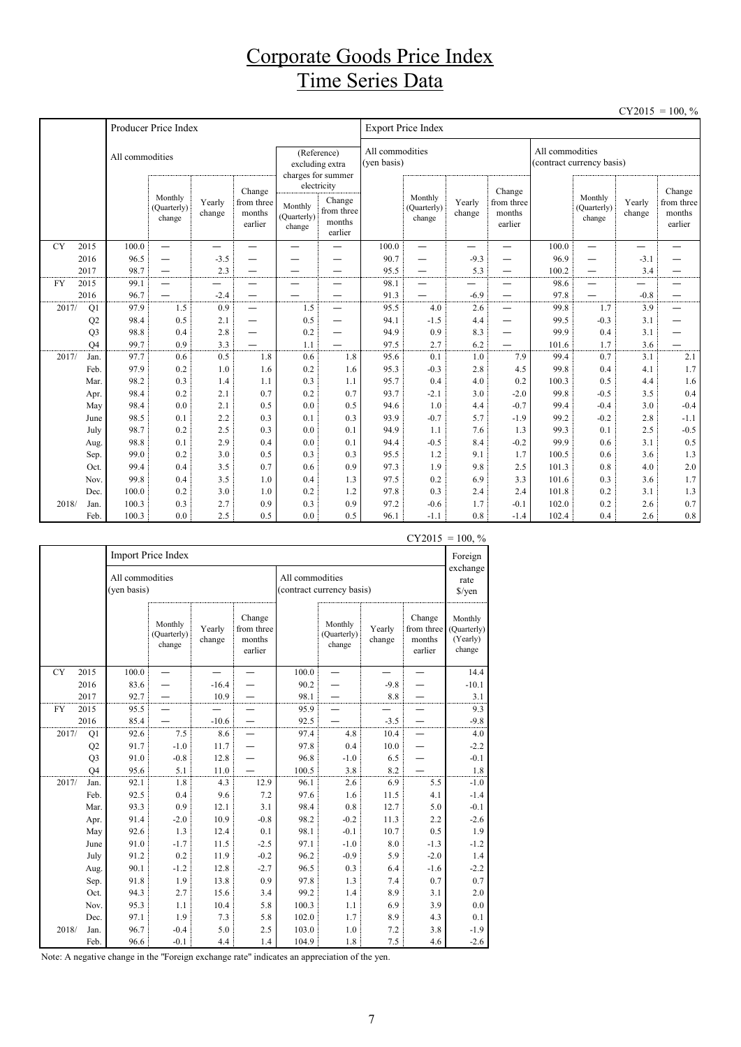## Corporate Goods Price Index Time Series Data

|           |                |                 |                                  |                  |                                           |                                  |                                                          |                                |                                  |                  |                                           |                |                                              |                  | $CY2015 = 100, \%$                        |  |
|-----------|----------------|-----------------|----------------------------------|------------------|-------------------------------------------|----------------------------------|----------------------------------------------------------|--------------------------------|----------------------------------|------------------|-------------------------------------------|----------------|----------------------------------------------|------------------|-------------------------------------------|--|
|           |                |                 | Producer Price Index             |                  |                                           |                                  |                                                          | <b>Export Price Index</b>      |                                  |                  |                                           |                |                                              |                  |                                           |  |
|           |                | All commodities |                                  |                  |                                           |                                  | (Reference)<br>excluding extra<br>charges for summer     | All commodities<br>(yen basis) |                                  |                  |                                           |                | All commodities<br>(contract currency basis) |                  |                                           |  |
|           |                |                 | Monthly<br>(Quarterly)<br>change | Yearly<br>change | Change<br>from three<br>months<br>earlier | Monthly<br>(Quarterly)<br>change | electricity<br>Change<br>from three<br>months<br>earlier |                                | Monthly<br>(Quarterly)<br>change | Yearly<br>change | Change<br>from three<br>months<br>earlier |                | Monthly<br>(Quarterly)<br>change             | Yearly<br>change | Change<br>from three<br>months<br>earlier |  |
| <b>CY</b> | 2015           | 100.0           | $\equiv$                         | —                |                                           |                                  |                                                          | 100.0                          | —                                |                  | —<br>—                                    | 100.0          | —                                            |                  |                                           |  |
|           | 2016<br>2017   | 96.5            | $\overline{\phantom{0}}$         | $-3.5$           |                                           |                                  |                                                          | 90.7                           | —                                | $-9.3$           |                                           | 96.9           | —                                            | $-3.1$           |                                           |  |
| <b>FY</b> | 2015           | 98.7<br>99.1    | —                                | 2.3<br>—         | —                                         | -                                |                                                          | 95.5<br>98.1                   | —<br>—                           | 5.3<br>—         |                                           | 100.2<br>98.6  | $\overline{\phantom{0}}$<br>—                | 3.4<br>—         |                                           |  |
|           | 2016           | 96.7            |                                  | $-2.4$           |                                           |                                  |                                                          | 91.3                           |                                  | $-6.9$           | $\overline{\phantom{0}}$                  | 97.8           |                                              | $-0.8$           |                                           |  |
| 2017/     | Q1             | 97.9            | 1.5                              | 0.9              | —                                         | 1.5                              | $\overline{\phantom{0}}$                                 | 95.5                           | 4.0                              | 2.6              | $\overline{\phantom{0}}$                  | 99.8           | 1.7                                          | 3.9              |                                           |  |
|           | Q2             | 98.4            | 0.5                              | 2.1              | —                                         | 0.5                              | $\overline{\phantom{0}}$                                 | 94.1                           | $-1.5$                           | 4.4              | -                                         | 99.5           | $-0.3$                                       | 3.1              |                                           |  |
|           | Q <sub>3</sub> | 98.8            | 0.4                              | 2.8              | —                                         | 0.2                              |                                                          | 94.9                           | 0.9                              | 8.3              | $\overline{\phantom{0}}$                  | 99.9           | 0.4                                          | 3.1              |                                           |  |
|           | O <sub>4</sub> | 99.7            | 0.9                              | 3.3              |                                           | 1.1                              |                                                          | 97.5                           | 2.7                              | 6.2              |                                           | 101.6          | 1.7                                          | 3.6              |                                           |  |
| 2017/     | Jan.           | 97.7            | 0.6                              | 0.5              | 1.8                                       | 0.6                              | 1.8                                                      | 95.6                           | 0.1                              | 1.0              | 7.9                                       | 99.4           | 0.7                                          | 3.1              | 2.1                                       |  |
|           | Feb.           | 97.9            | 0.2                              | 1.0              | 1.6                                       | 0.2                              | 1.6                                                      | 95.3                           | $-0.3$                           | 2.8              | 4.5                                       | 99.8           | 0.4                                          | 4.1              | 1.7                                       |  |
|           | Mar.           | 98.2            | 0.3                              | 1.4              | 1.1                                       | 0.3                              | 1.1                                                      | 95.7                           | 0.4                              | 4.0              | 0.2                                       | 100.3          | 0.5                                          | 4.4              | 1.6                                       |  |
|           | Apr.           | 98.4            | 0.2                              | 2.1              | 0.7                                       | 0.2                              | 0.7                                                      | 93.7                           | $-2.1$                           | 3.0              | $-2.0$                                    | 99.8           | $-0.5$                                       | 3.5              | 0.4                                       |  |
|           | May            | 98.4            | 0.0                              | 2.1              | 0.5                                       | 0.0                              | 0.5                                                      | 94.6                           | 1.0                              | 4.4              | $-0.7$                                    | 99.4           | $-0.4$                                       | 3.0              | $-0.4$                                    |  |
|           | June           | 98.5            | 0.1                              | 2.2              | 0.3                                       | 0.1                              | 0.3                                                      | 93.9                           | $-0.7$                           | 5.7              | $-1.9$                                    | 99.2           | $-0.2$                                       | 2.8              | $-1.1$                                    |  |
|           | July           | 98.7            | 0.2                              | 2.5              | 0.3                                       | 0.0                              | 0.1                                                      | 94.9                           | 1.1                              | 7.6              | 1.3                                       | 99.3           | 0.1                                          | 2.5              | $-0.5$                                    |  |
|           | Aug.           | 98.8            | 0.1                              | 2.9              | 0.4                                       | 0.0                              | 0.1                                                      | 94.4                           | $-0.5$                           | 8.4              | $-0.2$                                    | 99.9           | 0.6                                          | 3.1              | 0.5<br>1.3                                |  |
|           | Sep.<br>Oct.   | 99.0<br>99.4    | 0.2<br>0.4                       | 3.0<br>3.5       | 0.5<br>0.7                                | 0.3<br>0.6                       | 0.3<br>0.9                                               | 95.5<br>97.3                   | 1.2<br>1.9                       | 9.1<br>9.8       | 1.7<br>2.5                                | 100.5<br>101.3 | 0.6<br>0.8                                   | 3.6<br>4.0       | 2.0                                       |  |
|           | Nov.           | 99.8            | 0.4                              | 3.5              | 1.0                                       | 0.4                              | 1.3                                                      | 97.5                           | 0.2                              | 6.9              | 3.3                                       | 101.6          | 0.3                                          | 3.6              | 1.7                                       |  |
|           | Dec.           | 100.0           | 0.2                              | 3.0              | 1.0                                       | 0.2                              | 1.2                                                      | 97.8                           | 0.3                              | 2.4              | 2.4                                       | 101.8          | 0.2                                          | 3.1              | 1.3                                       |  |
| 2018/     | Jan.           | 100.3           | 0.3                              | 2.7              | 0.9                                       | 0.3                              | 0.9                                                      | 97.2                           | $-0.6$                           | 1.7              | $-0.1$                                    | 102.0          | 0.2                                          | 2.6              | 0.7                                       |  |
|           | Feb.           | 100.3           | 0.0                              | 2.5              | 0.5                                       | 0.0                              | 0.5                                                      | 96.1                           | $-1.1$                           | 0.8              | $-1.4$                                    | 102.4          | 0.4                                          | 2.6              | 0.8                                       |  |

|           |                |                                |                                  |                  |                                           |                 |                                  |                  |                                           | $CY2015 = 100, \%$                           |
|-----------|----------------|--------------------------------|----------------------------------|------------------|-------------------------------------------|-----------------|----------------------------------|------------------|-------------------------------------------|----------------------------------------------|
|           |                |                                | Import Price Index               |                  |                                           |                 |                                  |                  |                                           | Foreign                                      |
|           |                | All commodities<br>(yen basis) |                                  |                  |                                           | All commodities | (contract currency basis)        |                  |                                           | exchange<br>rate<br>$\sqrt{\frac{2}{\pi}}$   |
|           |                |                                | Monthly<br>(Quarterly)<br>change | Yearly<br>change | Change<br>from three<br>months<br>earlier |                 | Monthly<br>(Quarterly)<br>change | Yearly<br>change | Change<br>from three<br>months<br>earlier | Monthly<br>(Quarterly)<br>(Yearly)<br>change |
| <b>CY</b> | 2015           | 100.0                          |                                  |                  |                                           | 100.0           |                                  |                  |                                           | 14.4                                         |
|           | 2016           | 83.6                           |                                  | $-16.4$          |                                           | 90.2            |                                  | $-9.8$           |                                           | $-10.1$                                      |
|           | 2017           | 92.7                           |                                  | 10.9             |                                           | 98.1            |                                  | 8.8              |                                           | 3.1                                          |
| <b>FY</b> | 2015           | 95.5                           |                                  |                  |                                           | 95.9            |                                  |                  |                                           | 9.3                                          |
|           | 2016           | 85.4                           |                                  | $-10.6$          |                                           | 92.5            |                                  | $-3.5$           |                                           | $-9.8$                                       |
| 2017/     | Q1             | 92.6                           | 7.5                              | 8.6              |                                           | 97.4            | 4.8                              | 10.4             |                                           | 4.0                                          |
|           | Q2             | 91.7                           | $-1.0$                           | 11.7             |                                           | 97.8            | 0.4                              | 10.0             |                                           | $-2.2$                                       |
|           | Q <sub>3</sub> | 91.0                           | $-0.8$                           | 12.8             |                                           | 96.8            | $-1.0$                           | 6.5              |                                           | $-0.1$                                       |
|           | O <sub>4</sub> | 95.6                           | 5.1                              | 11.0             |                                           | 100.5           | 3.8                              | 8.2              |                                           | $1.8\,$                                      |
| 2017/     | Jan.           | 92.1                           | 1.8                              | 4.3              | 12.9                                      | 96.1            | 2.6                              | 6.9              | 5.5                                       | $-1.0$                                       |
|           | Feb.           | 92.5                           | 0.4                              | 9.6              | 7.2                                       | 97.6            | 1.6                              | 11.5             | 4.1                                       | $-1.4$                                       |
|           | Mar.           | 93.3                           | 0.9                              | 12.1             | 3.1                                       | 98.4            | 0.8                              | 12.7             | 5.0                                       | $-0.1$                                       |
|           | Apr.           | 91.4                           | $-2.0$                           | 10.9             | $-0.8$                                    | 98.2            | $-0.2$                           | 11.3             | 2.2                                       | $-2.6$                                       |
|           | May            | 92.6                           | 1.3                              | 12.4             | 0.1                                       | 98.1            | $-0.1$                           | 10.7             | 0.5                                       | 1.9                                          |
|           | June           | 91.0                           | $-1.7$                           | 11.5             | $-2.5$                                    | 97.1            | $-1.0$                           | $8.0\,$          | $-1.3$                                    | $-1.2$                                       |
|           | July           | 91.2                           | 0.2                              | 11.9             | $-0.2$                                    | 96.2            | $-0.9$                           | 5.9              | $-2.0$                                    | 1.4                                          |
|           | Aug.           | 90.1                           | $-1.2$                           | 12.8             | $-2.7$                                    | 96.5            | 0.3                              | 6.4              | $-1.6$                                    | $-2.2$                                       |
|           | Sep.           | 91.8                           | 1.9                              | 13.8             | 0.9                                       | 97.8            | 1.3                              | 7.4              | 0.7                                       | 0.7                                          |
|           | Oct.           | 94.3                           | 2.7                              | 15.6             | 3.4                                       | 99.2            | 1.4                              | 8.9              | 3.1                                       | 2.0                                          |
|           | Nov.           | 95.3                           | 1.1                              | 10.4             | 5.8                                       | 100.3           | 1.1                              | 6.9              | 3.9                                       | $0.0\,$                                      |
|           | Dec.           | 97.1                           | 1.9                              | 7.3              | 5.8                                       | 102.0           | 1.7                              | 8.9              | 4.3                                       | 0.1                                          |
| 2018/     | Jan.           | 96.7                           | $-0.4$                           | 5.0              | 2.5                                       | 103.0           | 1.0                              | 7.2              | 3.8                                       | $-1.9$                                       |
|           | Feb.           | 96.6                           | $-0.1$                           | 4.4              | 1.4                                       | 104.9           | 1.8                              | 7.5              | 4.6                                       | $-2.6$                                       |

Note: A negative change in the "Foreign exchange rate" indicates an appreciation of the yen.